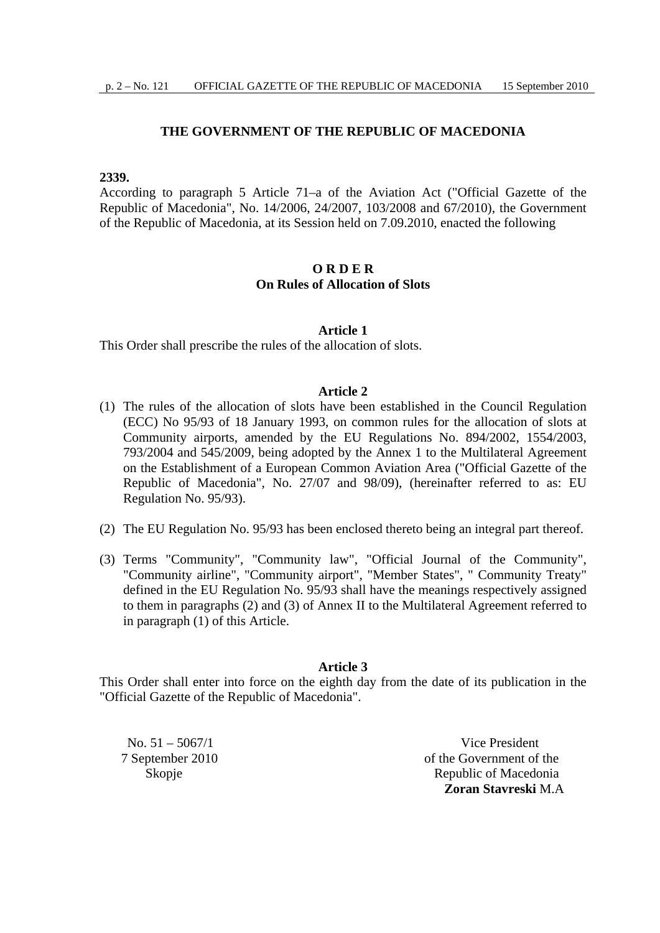# **THE GOVERNMENT OF THE REPUBLIC OF MACEDONIA**

# **2339.**

According to paragraph 5 Article 71–a of the Aviation Act ("Official Gazette of the Republic of Macedonia", No. 14/2006, 24/2007, 103/2008 and 67/2010), the Government of the Republic of Macedonia, at its Session held on 7.09.2010, enacted the following

# **O R D E R On Rules of Allocation of Slots**

# **Article 1**

This Order shall prescribe the rules of the allocation of slots.

## **Article 2**

- (1) The rules of the allocation of slots have been established in the Council Regulation (ECC) No 95/93 of 18 January 1993, on common rules for the allocation of slots at Community airports, amended by the EU Regulations No. 894/2002, 1554/2003, 793/2004 and 545/2009, being adopted by the Annex 1 to the Multilateral Agreement on the Establishment of a European Common Aviation Area ("Official Gazette of the Republic of Macedonia", No. 27/07 and 98/09), (hereinafter referred to as: EU Regulation No. 95/93).
- (2) The EU Regulation No. 95/93 has been enclosed thereto being an integral part thereof.
- (3) Terms "Community", "Community law", "Official Journal of the Community", "Community airline", "Community airport", "Member States", " Community Treaty" defined in the EU Regulation No. 95/93 shall have the meanings respectively assigned to them in paragraphs (2) and (3) of Annex II to the Multilateral Agreement referred to in paragraph (1) of this Article.

# **Article 3**

This Order shall enter into force on the eighth day from the date of its publication in the "Official Gazette of the Republic of Macedonia".

 $N_0$ .  $51 - 5067/1$  Vice President 7 September 2010 of the Government of the Skopje Republic of Macedonia **Zoran Stavreski** M.A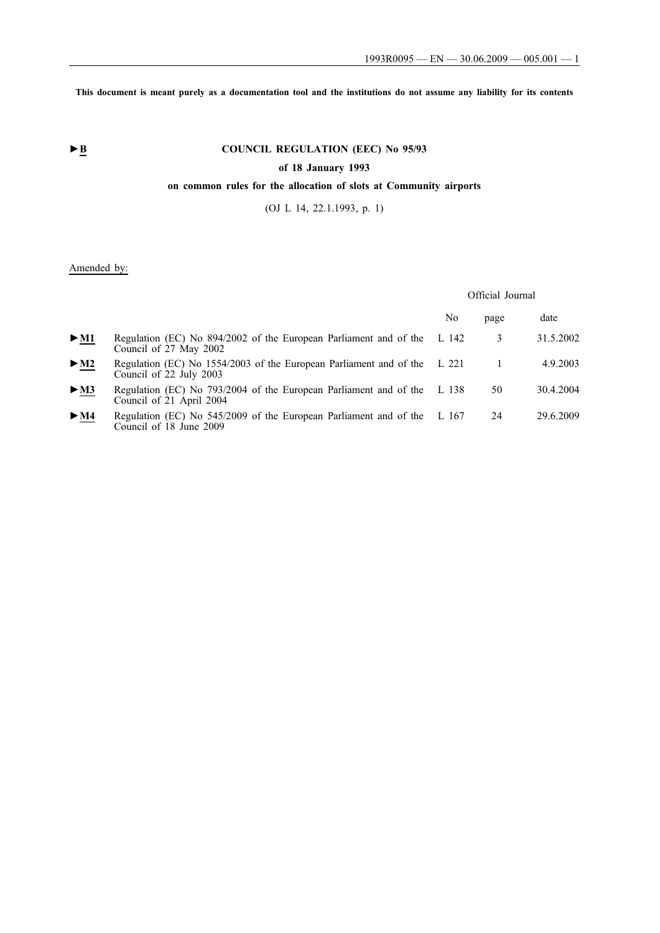**This document is meant purely as a documentation tool and the institutions do not assume any liability for its contents**

# ► **B** COUNCIL REGULATION (EEC) No 95/93

# **of 18 January 1993**

# **on common rules for the allocation of slots at Community airports**

(OJ L 14, 22.1.1993, p. 1)

# Amended by:

## Official Journal

|                          |                                                                                                     | No | page | date      |
|--------------------------|-----------------------------------------------------------------------------------------------------|----|------|-----------|
| $\blacktriangleright$ M1 | Regulation (EC) No 894/2002 of the European Parliament and of the L 142<br>Council of 27 May 2002   |    | 3    | 31.5.2002 |
| $>$ M2                   | Regulation (EC) No 1554/2003 of the European Parliament and of the L 221<br>Council of 22 July 2003 |    |      | 4.9.2003  |
| $\blacktriangleright$ M3 | Regulation (EC) No 793/2004 of the European Parliament and of the L 138<br>Council of 21 April 2004 |    | 50   | 30.4.2004 |
| $\blacktriangleright$ M4 | Regulation (EC) No 545/2009 of the European Parliament and of the L 167<br>Council of 18 June 2009  |    | 24   | 29.6.2009 |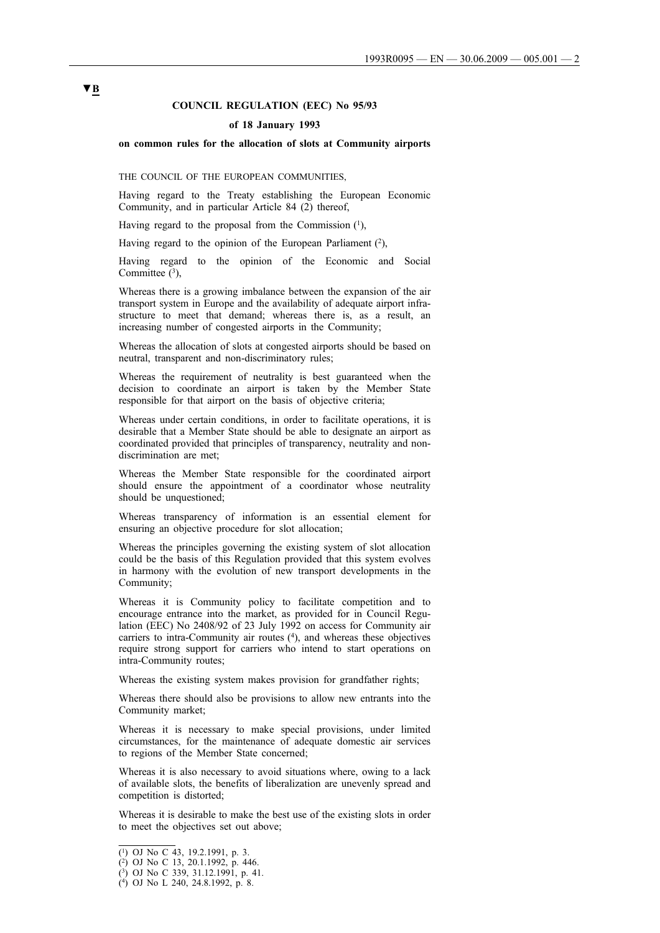## **COUNCIL REGULATION (EEC) No 95/93**

#### **of 18 January 1993**

#### **on common rules for the allocation of slots at Community airports**

THE COUNCIL OF THE EUROPEAN COMMUNITIES,

Having regard to the Treaty establishing the European Economic Community, and in particular Article 84 (2) thereof,

Having regard to the proposal from the Commission  $(1)$ ,

Having regard to the opinion of the European Parliament  $(2)$ ,

Having regard to the opinion of the Economic and Social Committee  $(3)$ ,

Whereas there is a growing imbalance between the expansion of the air transport system in Europe and the availability of adequate airport infrastructure to meet that demand; whereas there is, as a result, an increasing number of congested airports in the Community;

Whereas the allocation of slots at congested airports should be based on neutral, transparent and non-discriminatory rules;

Whereas the requirement of neutrality is best guaranteed when the decision to coordinate an airport is taken by the Member State responsible for that airport on the basis of objective criteria;

Whereas under certain conditions, in order to facilitate operations, it is desirable that a Member State should be able to designate an airport as coordinated provided that principles of transparency, neutrality and nondiscrimination are met;

Whereas the Member State responsible for the coordinated airport should ensure the appointment of a coordinator whose neutrality should be unquestioned;

Whereas transparency of information is an essential element for ensuring an objective procedure for slot allocation;

Whereas the principles governing the existing system of slot allocation could be the basis of this Regulation provided that this system evolves in harmony with the evolution of new transport developments in the Community;

Whereas it is Community policy to facilitate competition and to encourage entrance into the market, as provided for in Council Regulation (EEC) No 2408/92 of 23 July 1992 on access for Community air carriers to intra-Community air routes (4), and whereas these objectives require strong support for carriers who intend to start operations on intra-Community routes;

Whereas the existing system makes provision for grandfather rights;

Whereas there should also be provisions to allow new entrants into the Community market;

Whereas it is necessary to make special provisions, under limited circumstances, for the maintenance of adequate domestic air services to regions of the Member State concerned;

Whereas it is also necessary to avoid situations where, owing to a lack of available slots, the benefits of liberalization are unevenly spread and competition is distorted;

Whereas it is desirable to make the best use of the existing slots in order to meet the objectives set out above;

# **▼B**

<sup>(1)</sup> OJ No C 43, 19.2.1991, p. 3.

<sup>(2)</sup> OJ No C 13, 20.1.1992, p. 446.

<sup>(3)</sup> OJ No C 339, 31.12.1991, p. 41.

<sup>(4)</sup> OJ No L 240, 24.8.1992, p. 8.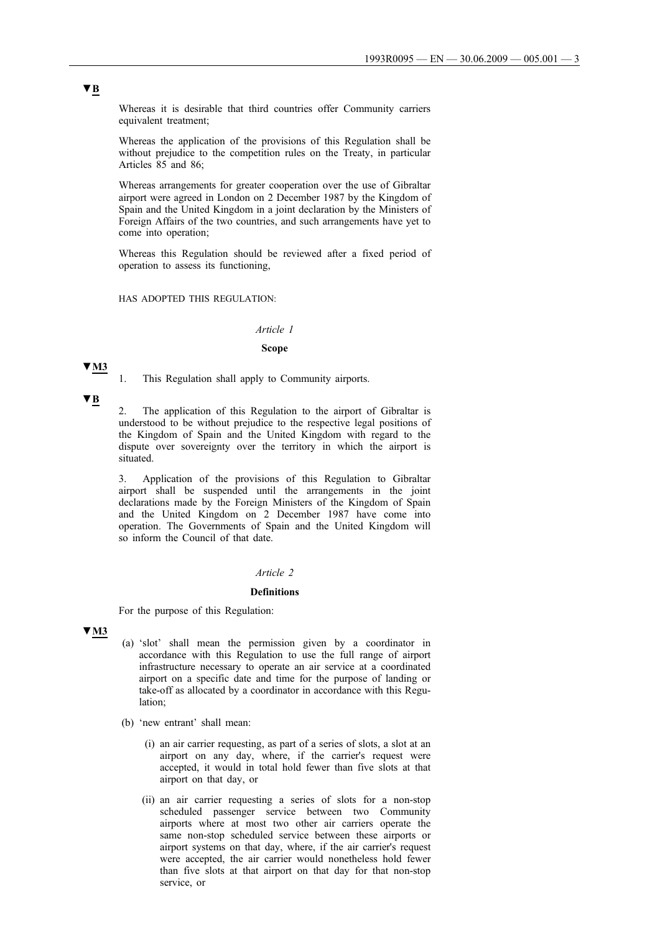Whereas it is desirable that third countries offer Community carriers equivalent treatment;

Whereas the application of the provisions of this Regulation shall be without prejudice to the competition rules on the Treaty, in particular Articles 85 and 86;

Whereas arrangements for greater cooperation over the use of Gibraltar airport were agreed in London on 2 December 1987 by the Kingdom of Spain and the United Kingdom in a joint declaration by the Ministers of Foreign Affairs of the two countries, and such arrangements have yet to come into operation;

Whereas this Regulation should be reviewed after a fixed period of operation to assess its functioning,

#### HAS ADOPTED THIS REGULATION:

## *Article 1*

## **Scope**

#### **▼M3**

1. This Regulation shall apply to Community airports.

**▼B**

2. The application of this Regulation to the airport of Gibraltar is understood to be without prejudice to the respective legal positions of the Kingdom of Spain and the United Kingdom with regard to the dispute over sovereignty over the territory in which the airport is situated.

3. Application of the provisions of this Regulation to Gibraltar airport shall be suspended until the arrangements in the joint declarations made by the Foreign Ministers of the Kingdom of Spain and the United Kingdom on 2 December 1987 have come into operation. The Governments of Spain and the United Kingdom will so inform the Council of that date.

#### *Article 2*

#### **Definitions**

For the purpose of this Regulation:

#### **▼M3**

- (a) 'slot' shall mean the permission given by a coordinator in accordance with this Regulation to use the full range of airport infrastructure necessary to operate an air service at a coordinated airport on a specific date and time for the purpose of landing or take-off as allocated by a coordinator in accordance with this Regulation;
- (b) 'new entrant' shall mean:
	- (i) an air carrier requesting, as part of a series of slots, a slot at an airport on any day, where, if the carrier's request were accepted, it would in total hold fewer than five slots at that airport on that day, or
	- (ii) an air carrier requesting a series of slots for a non-stop scheduled passenger service between two Community airports where at most two other air carriers operate the same non-stop scheduled service between these airports or airport systems on that day, where, if the air carrier's request were accepted, the air carrier would nonetheless hold fewer than five slots at that airport on that day for that non-stop service, or

# **▼B**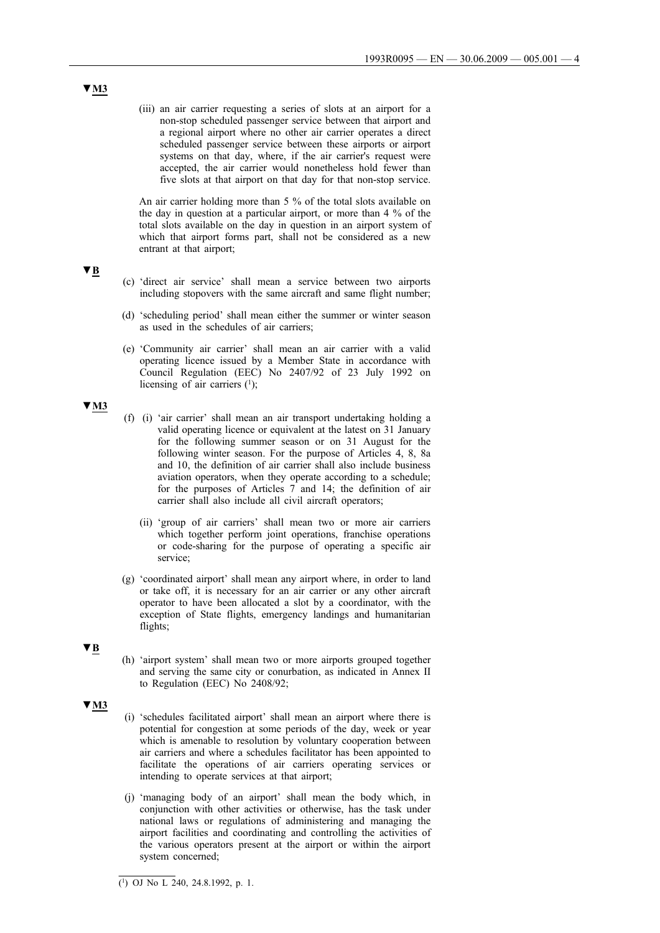(iii) an air carrier requesting a series of slots at an airport for a non-stop scheduled passenger service between that airport and a regional airport where no other air carrier operates a direct scheduled passenger service between these airports or airport systems on that day, where, if the air carrier's request were accepted, the air carrier would nonetheless hold fewer than five slots at that airport on that day for that non-stop service.

An air carrier holding more than 5 % of the total slots available on the day in question at a particular airport, or more than 4 % of the total slots available on the day in question in an airport system of which that airport forms part, shall not be considered as a new entrant at that airport;

- (c) 'direct air service' shall mean a service between two airports including stopovers with the same aircraft and same flight number;
- (d) 'scheduling period' shall mean either the summer or winter season as used in the schedules of air carriers;
- (e) 'Community air carrier' shall mean an air carrier with a valid operating licence issued by a Member State in accordance with Council Regulation (EEC) No 2407/92 of 23 July 1992 on licensing of air carriers  $(1)$ ;

**▼M3**

**▼B**

- (f) (i) 'air carrier' shall mean an air transport undertaking holding a valid operating licence or equivalent at the latest on 31 January for the following summer season or on 31 August for the following winter season. For the purpose of Articles 4, 8, 8a and 10, the definition of air carrier shall also include business aviation operators, when they operate according to a schedule; for the purposes of Articles 7 and 14; the definition of air carrier shall also include all civil aircraft operators;
	- (ii) 'group of air carriers' shall mean two or more air carriers which together perform joint operations, franchise operations or code-sharing for the purpose of operating a specific air service;
- (g) 'coordinated airport' shall mean any airport where, in order to land or take off, it is necessary for an air carrier or any other aircraft operator to have been allocated a slot by a coordinator, with the exception of State flights, emergency landings and humanitarian flights;
- **▼B**
- (h) 'airport system' shall mean two or more airports grouped together and serving the same city or conurbation, as indicated in Annex II to Regulation (EEC) No 2408/92;
- **▼M3**
- (i) 'schedules facilitated airport' shall mean an airport where there is potential for congestion at some periods of the day, week or year which is amenable to resolution by voluntary cooperation between air carriers and where a schedules facilitator has been appointed to facilitate the operations of air carriers operating services or intending to operate services at that airport;
- (j) 'managing body of an airport' shall mean the body which, in conjunction with other activities or otherwise, has the task under national laws or regulations of administering and managing the airport facilities and coordinating and controlling the activities of the various operators present at the airport or within the airport system concerned;

<sup>(1)</sup> OJ No L 240, 24.8.1992, p. 1.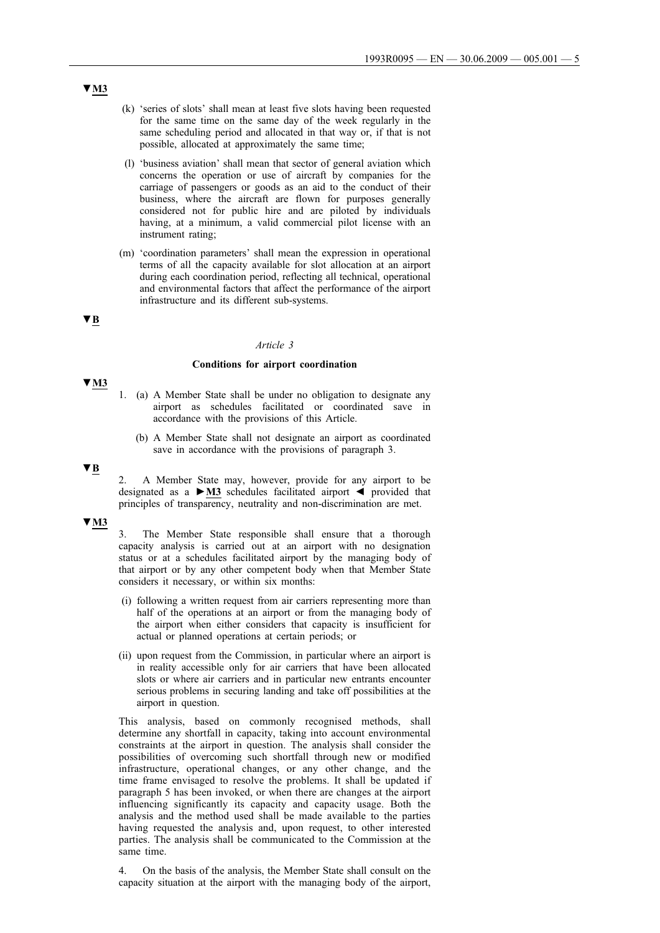- (k) 'series of slots' shall mean at least five slots having been requested for the same time on the same day of the week regularly in the same scheduling period and allocated in that way or, if that is not possible, allocated at approximately the same time;
- (l) 'business aviation' shall mean that sector of general aviation which concerns the operation or use of aircraft by companies for the carriage of passengers or goods as an aid to the conduct of their business, where the aircraft are flown for purposes generally considered not for public hire and are piloted by individuals having, at a minimum, a valid commercial pilot license with an instrument rating;
- (m) 'coordination parameters' shall mean the expression in operational terms of all the capacity available for slot allocation at an airport during each coordination period, reflecting all technical, operational and environmental factors that affect the performance of the airport infrastructure and its different sub-systems.

# **▼B**

**▼M3**

#### *Article 3*

#### **Conditions for airport coordination**

- 1. (a) A Member State shall be under no obligation to designate any airport as schedules facilitated or coordinated save in accordance with the provisions of this Article.
	- (b) A Member State shall not designate an airport as coordinated save in accordance with the provisions of paragraph 3.

# **▼B**

2. A Member State may, however, provide for any airport to be designated as a **►M3** schedules facilitated airport ◄ provided that principles of transparency, neutrality and non-discrimination are met.

## **▼M3**

The Member State responsible shall ensure that a thorough capacity analysis is carried out at an airport with no designation status or at a schedules facilitated airport by the managing body of that airport or by any other competent body when that Member State considers it necessary, or within six months:

- (i) following a written request from air carriers representing more than half of the operations at an airport or from the managing body of the airport when either considers that capacity is insufficient for actual or planned operations at certain periods; or
- (ii) upon request from the Commission, in particular where an airport is in reality accessible only for air carriers that have been allocated slots or where air carriers and in particular new entrants encounter serious problems in securing landing and take off possibilities at the airport in question.

This analysis, based on commonly recognised methods, shall determine any shortfall in capacity, taking into account environmental constraints at the airport in question. The analysis shall consider the possibilities of overcoming such shortfall through new or modified infrastructure, operational changes, or any other change, and the time frame envisaged to resolve the problems. It shall be updated if paragraph 5 has been invoked, or when there are changes at the airport influencing significantly its capacity and capacity usage. Both the analysis and the method used shall be made available to the parties having requested the analysis and, upon request, to other interested parties. The analysis shall be communicated to the Commission at the same time.

4. On the basis of the analysis, the Member State shall consult on the capacity situation at the airport with the managing body of the airport,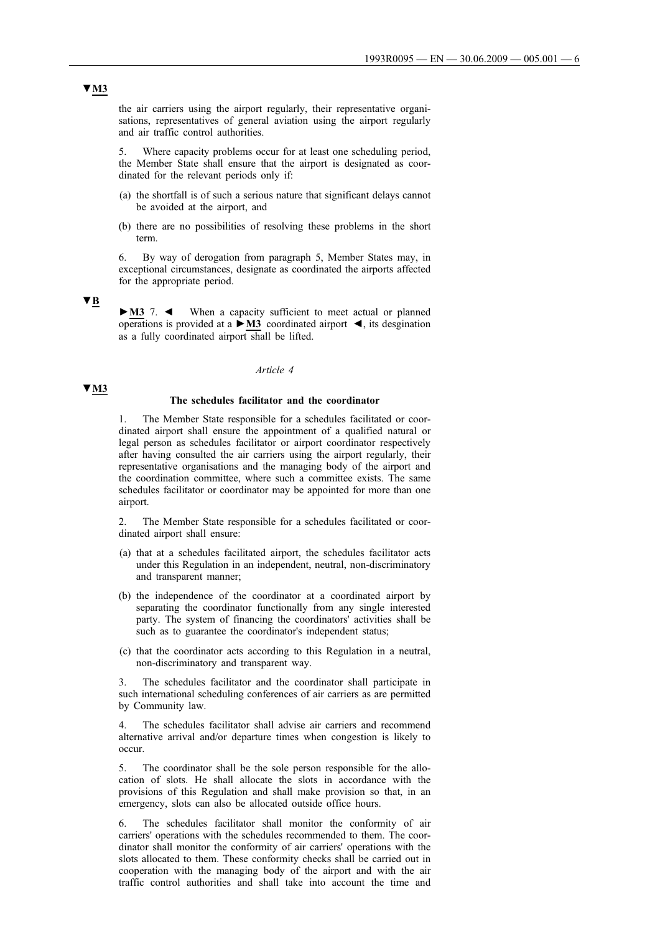the air carriers using the airport regularly, their representative organisations, representatives of general aviation using the airport regularly and air traffic control authorities.

5. Where capacity problems occur for at least one scheduling period, the Member State shall ensure that the airport is designated as coordinated for the relevant periods only if:

- (a) the shortfall is of such a serious nature that significant delays cannot be avoided at the airport, and
- (b) there are no possibilities of resolving these problems in the short term.

6. By way of derogation from paragraph 5, Member States may, in exceptional circumstances, designate as coordinated the airports affected for the appropriate period.

**▼B**

**►M3** 7. ◄ When a capacity sufficient to meet actual or planned operations is provided at a **►M3** coordinated airport ◄, its desgination as a fully coordinated airport shall be lifted.

#### *Article 4*

## **▼M3**

## **The schedules facilitator and the coordinator**

1. The Member State responsible for a schedules facilitated or coordinated airport shall ensure the appointment of a qualified natural or legal person as schedules facilitator or airport coordinator respectively after having consulted the air carriers using the airport regularly, their representative organisations and the managing body of the airport and the coordination committee, where such a committee exists. The same schedules facilitator or coordinator may be appointed for more than one airport.

The Member State responsible for a schedules facilitated or coordinated airport shall ensure:

- (a) that at a schedules facilitated airport, the schedules facilitator acts under this Regulation in an independent, neutral, non-discriminatory and transparent manner;
- (b) the independence of the coordinator at a coordinated airport by separating the coordinator functionally from any single interested party. The system of financing the coordinators' activities shall be such as to guarantee the coordinator's independent status;
- (c) that the coordinator acts according to this Regulation in a neutral, non-discriminatory and transparent way.

3. The schedules facilitator and the coordinator shall participate in such international scheduling conferences of air carriers as are permitted by Community law.

The schedules facilitator shall advise air carriers and recommend alternative arrival and/or departure times when congestion is likely to occur.

5. The coordinator shall be the sole person responsible for the allocation of slots. He shall allocate the slots in accordance with the provisions of this Regulation and shall make provision so that, in an emergency, slots can also be allocated outside office hours.

6. The schedules facilitator shall monitor the conformity of air carriers' operations with the schedules recommended to them. The coordinator shall monitor the conformity of air carriers' operations with the slots allocated to them. These conformity checks shall be carried out in cooperation with the managing body of the airport and with the air traffic control authorities and shall take into account the time and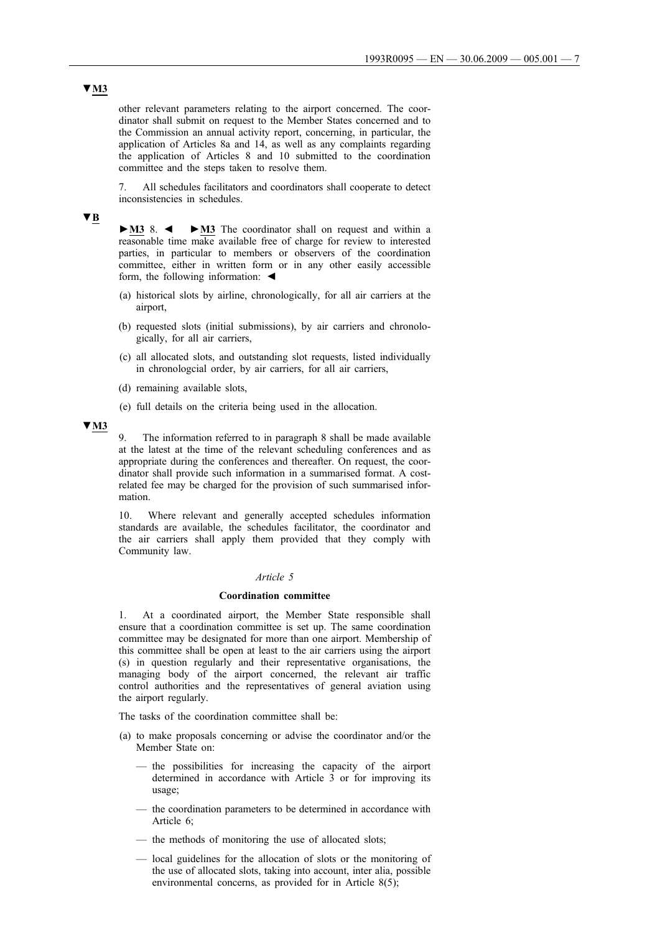other relevant parameters relating to the airport concerned. The coordinator shall submit on request to the Member States concerned and to the Commission an annual activity report, concerning, in particular, the application of Articles 8a and 14, as well as any complaints regarding the application of Articles 8 and 10 submitted to the coordination committee and the steps taken to resolve them.

7. All schedules facilitators and coordinators shall cooperate to detect inconsistencies in schedules.

## **▼B**

**►M3** 8. ◄ **►M3** The coordinator shall on request and within a reasonable time make available free of charge for review to interested parties, in particular to members or observers of the coordination committee, either in written form or in any other easily accessible form, the following information:  $\triangleleft$ 

- (a) historical slots by airline, chronologically, for all air carriers at the airport,
- (b) requested slots (initial submissions), by air carriers and chronologically, for all air carriers,
- (c) all allocated slots, and outstanding slot requests, listed individually in chronologcial order, by air carriers, for all air carriers,
- (d) remaining available slots,
- (e) full details on the criteria being used in the allocation.

## **▼M3**

9. The information referred to in paragraph 8 shall be made available at the latest at the time of the relevant scheduling conferences and as appropriate during the conferences and thereafter. On request, the coordinator shall provide such information in a summarised format. A costrelated fee may be charged for the provision of such summarised information.

10. Where relevant and generally accepted schedules information standards are available, the schedules facilitator, the coordinator and the air carriers shall apply them provided that they comply with Community law.

#### *Article 5*

#### **Coordination committee**

1. At a coordinated airport, the Member State responsible shall ensure that a coordination committee is set up. The same coordination committee may be designated for more than one airport. Membership of this committee shall be open at least to the air carriers using the airport (s) in question regularly and their representative organisations, the managing body of the airport concerned, the relevant air traffic control authorities and the representatives of general aviation using the airport regularly.

The tasks of the coordination committee shall be:

- (a) to make proposals concerning or advise the coordinator and/or the Member State on:
	- the possibilities for increasing the capacity of the airport determined in accordance with Article 3 or for improving its usage;
	- the coordination parameters to be determined in accordance with Article 6;
	- the methods of monitoring the use of allocated slots;
	- local guidelines for the allocation of slots or the monitoring of the use of allocated slots, taking into account, inter alia, possible environmental concerns, as provided for in Article 8(5);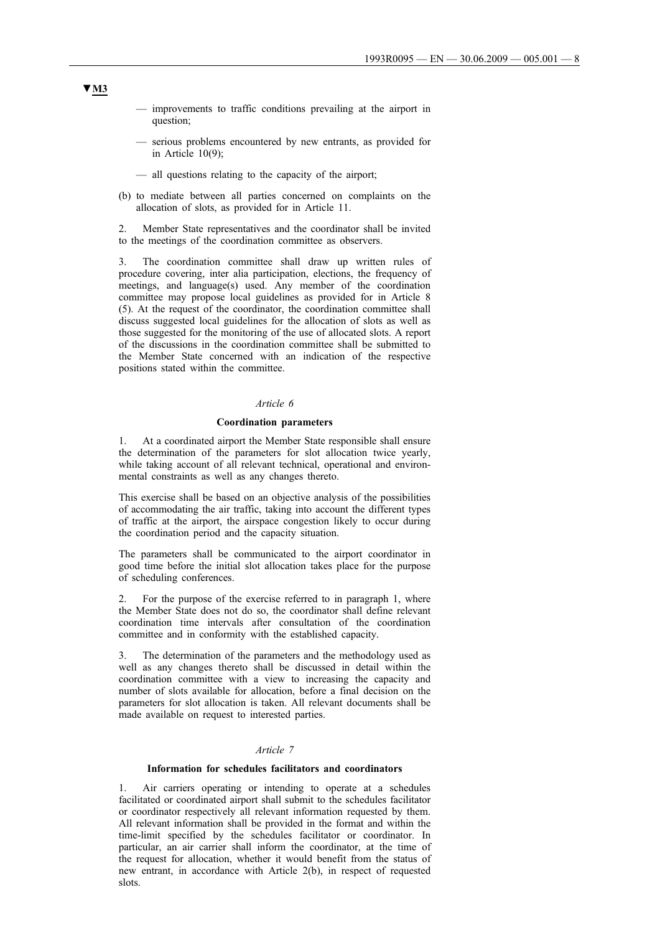- improvements to traffic conditions prevailing at the airport in question;
- serious problems encountered by new entrants, as provided for in Article 10(9);
- all questions relating to the capacity of the airport;
- (b) to mediate between all parties concerned on complaints on the allocation of slots, as provided for in Article 11.

2. Member State representatives and the coordinator shall be invited to the meetings of the coordination committee as observers.

3. The coordination committee shall draw up written rules of procedure covering, inter alia participation, elections, the frequency of meetings, and language(s) used. Any member of the coordination committee may propose local guidelines as provided for in Article 8 (5). At the request of the coordinator, the coordination committee shall discuss suggested local guidelines for the allocation of slots as well as those suggested for the monitoring of the use of allocated slots. A report of the discussions in the coordination committee shall be submitted to the Member State concerned with an indication of the respective positions stated within the committee.

#### *Article 6*

#### **Coordination parameters**

1. At a coordinated airport the Member State responsible shall ensure the determination of the parameters for slot allocation twice yearly, while taking account of all relevant technical, operational and environmental constraints as well as any changes thereto.

This exercise shall be based on an objective analysis of the possibilities of accommodating the air traffic, taking into account the different types of traffic at the airport, the airspace congestion likely to occur during the coordination period and the capacity situation.

The parameters shall be communicated to the airport coordinator in good time before the initial slot allocation takes place for the purpose of scheduling conferences.

2. For the purpose of the exercise referred to in paragraph 1, where the Member State does not do so, the coordinator shall define relevant coordination time intervals after consultation of the coordination committee and in conformity with the established capacity.

3. The determination of the parameters and the methodology used as well as any changes thereto shall be discussed in detail within the coordination committee with a view to increasing the capacity and number of slots available for allocation, before a final decision on the parameters for slot allocation is taken. All relevant documents shall be made available on request to interested parties.

#### *Article 7*

## **Information for schedules facilitators and coordinators**

1. Air carriers operating or intending to operate at a schedules facilitated or coordinated airport shall submit to the schedules facilitator or coordinator respectively all relevant information requested by them. All relevant information shall be provided in the format and within the time-limit specified by the schedules facilitator or coordinator. In particular, an air carrier shall inform the coordinator, at the time of the request for allocation, whether it would benefit from the status of new entrant, in accordance with Article 2(b), in respect of requested slots.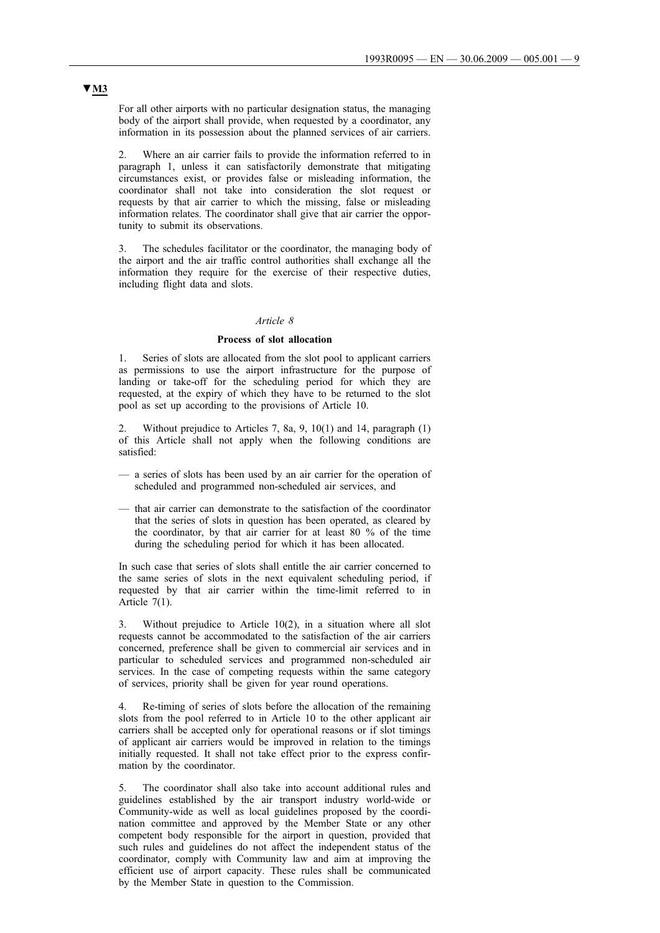For all other airports with no particular designation status, the managing body of the airport shall provide, when requested by a coordinator, any information in its possession about the planned services of air carriers.

2. Where an air carrier fails to provide the information referred to in paragraph 1, unless it can satisfactorily demonstrate that mitigating circumstances exist, or provides false or misleading information, the coordinator shall not take into consideration the slot request or requests by that air carrier to which the missing, false or misleading information relates. The coordinator shall give that air carrier the opportunity to submit its observations.

The schedules facilitator or the coordinator, the managing body of the airport and the air traffic control authorities shall exchange all the information they require for the exercise of their respective duties, including flight data and slots.

## *Article 8*

#### **Process of slot allocation**

1. Series of slots are allocated from the slot pool to applicant carriers as permissions to use the airport infrastructure for the purpose of landing or take-off for the scheduling period for which they are requested, at the expiry of which they have to be returned to the slot pool as set up according to the provisions of Article 10.

2. Without prejudice to Articles 7, 8a, 9, 10(1) and 14, paragraph (1) of this Article shall not apply when the following conditions are satisfied:

- a series of slots has been used by an air carrier for the operation of scheduled and programmed non-scheduled air services, and
- that air carrier can demonstrate to the satisfaction of the coordinator that the series of slots in question has been operated, as cleared by the coordinator, by that air carrier for at least 80 % of the time during the scheduling period for which it has been allocated.

In such case that series of slots shall entitle the air carrier concerned to the same series of slots in the next equivalent scheduling period, if requested by that air carrier within the time-limit referred to in Article 7(1).

3. Without prejudice to Article 10(2), in a situation where all slot requests cannot be accommodated to the satisfaction of the air carriers concerned, preference shall be given to commercial air services and in particular to scheduled services and programmed non-scheduled air services. In the case of competing requests within the same category of services, priority shall be given for year round operations.

4. Re-timing of series of slots before the allocation of the remaining slots from the pool referred to in Article 10 to the other applicant air carriers shall be accepted only for operational reasons or if slot timings of applicant air carriers would be improved in relation to the timings initially requested. It shall not take effect prior to the express confirmation by the coordinator.

5. The coordinator shall also take into account additional rules and guidelines established by the air transport industry world-wide or Community-wide as well as local guidelines proposed by the coordination committee and approved by the Member State or any other competent body responsible for the airport in question, provided that such rules and guidelines do not affect the independent status of the coordinator, comply with Community law and aim at improving the efficient use of airport capacity. These rules shall be communicated by the Member State in question to the Commission.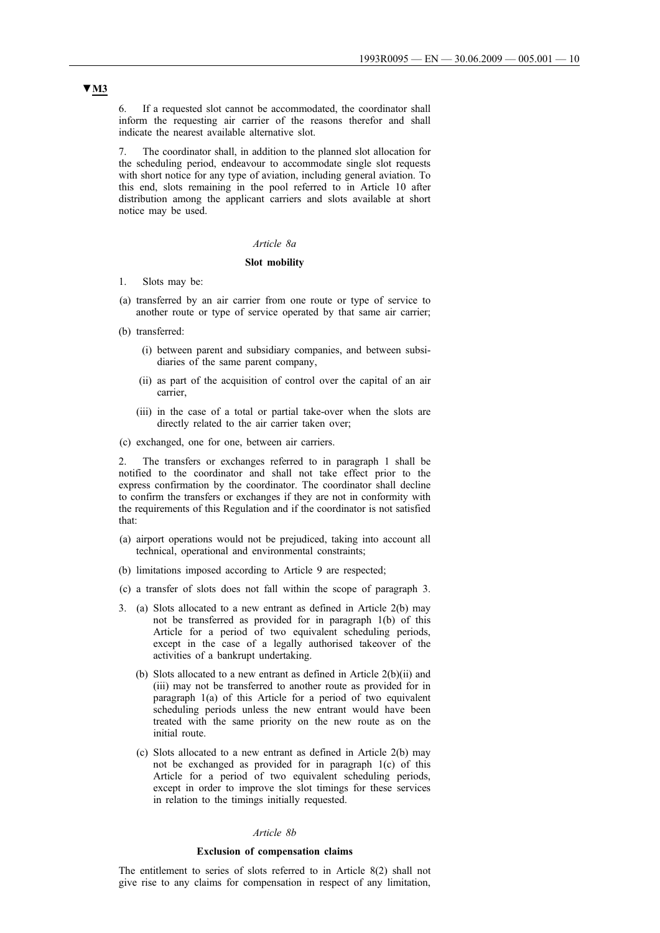6. If a requested slot cannot be accommodated, the coordinator shall inform the requesting air carrier of the reasons therefor and shall indicate the nearest available alternative slot.

7. The coordinator shall, in addition to the planned slot allocation for the scheduling period, endeavour to accommodate single slot requests with short notice for any type of aviation, including general aviation. To this end, slots remaining in the pool referred to in Article 10 after distribution among the applicant carriers and slots available at short notice may be used.

## *Article 8a*

#### **Slot mobility**

- 1. Slots may be:
- (a) transferred by an air carrier from one route or type of service to another route or type of service operated by that same air carrier;
- (b) transferred:
	- (i) between parent and subsidiary companies, and between subsidiaries of the same parent company,
	- (ii) as part of the acquisition of control over the capital of an air carrier,
	- (iii) in the case of a total or partial take-over when the slots are directly related to the air carrier taken over;
- (c) exchanged, one for one, between air carriers.

2. The transfers or exchanges referred to in paragraph 1 shall be notified to the coordinator and shall not take effect prior to the express confirmation by the coordinator. The coordinator shall decline to confirm the transfers or exchanges if they are not in conformity with the requirements of this Regulation and if the coordinator is not satisfied that:

- (a) airport operations would not be prejudiced, taking into account all technical, operational and environmental constraints;
- (b) limitations imposed according to Article 9 are respected;
- (c) a transfer of slots does not fall within the scope of paragraph 3.
- 3. (a) Slots allocated to a new entrant as defined in Article 2(b) may not be transferred as provided for in paragraph 1(b) of this Article for a period of two equivalent scheduling periods, except in the case of a legally authorised takeover of the activities of a bankrupt undertaking.
	- (b) Slots allocated to a new entrant as defined in Article 2(b)(ii) and (iii) may not be transferred to another route as provided for in paragraph 1(a) of this Article for a period of two equivalent scheduling periods unless the new entrant would have been treated with the same priority on the new route as on the initial route.
	- (c) Slots allocated to a new entrant as defined in Article 2(b) may not be exchanged as provided for in paragraph 1(c) of this Article for a period of two equivalent scheduling periods, except in order to improve the slot timings for these services in relation to the timings initially requested.

#### *Article 8b*

#### **Exclusion of compensation claims**

The entitlement to series of slots referred to in Article 8(2) shall not give rise to any claims for compensation in respect of any limitation,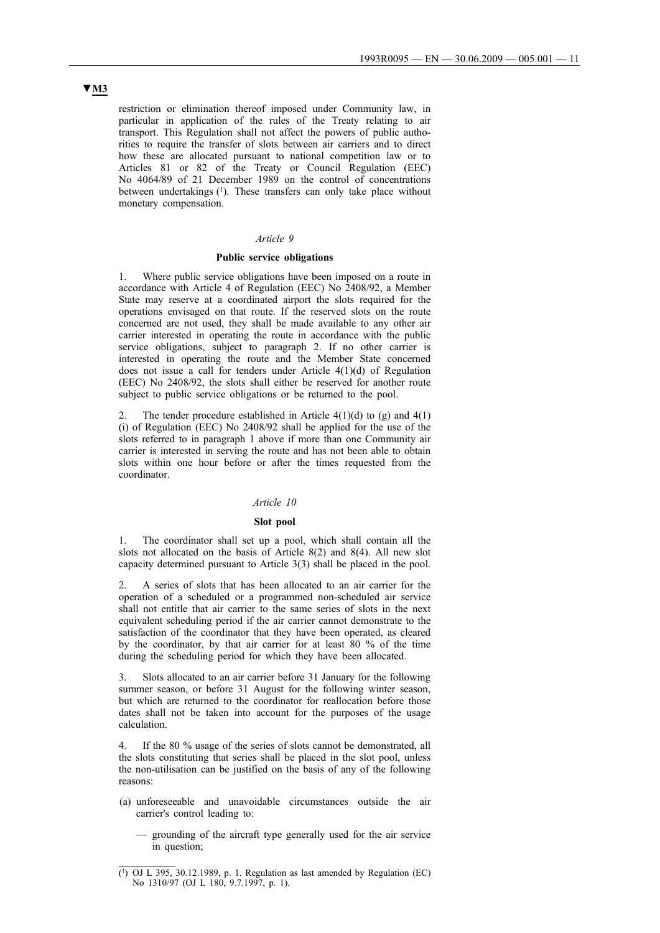restriction or elimination thereof imposed under Community law, in particular in application of the rules of the Treaty relating to air transport. This Regulation shall not affect the powers of public authorities to require the transfer of slots between air carriers and to direct how these are allocated pursuant to national competition law or to Articles 81 or 82 of the Treaty or Council Regulation (EEC) No 4064/89 of 21 December 1989 on the control of concentrations between undertakings (1). These transfers can only take place without monetary compensation.

#### *Article 9*

#### **Public service obligations**

1. Where public service obligations have been imposed on a route in accordance with Article 4 of Regulation (EEC) No 2408/92, a Member State may reserve at a coordinated airport the slots required for the operations envisaged on that route. If the reserved slots on the route concerned are not used, they shall be made available to any other air carrier interested in operating the route in accordance with the public service obligations, subject to paragraph 2. If no other carrier is interested in operating the route and the Member State concerned does not issue a call for tenders under Article 4(1)(d) of Regulation (EEC) No 2408/92, the slots shall either be reserved for another route subject to public service obligations or be returned to the pool.

The tender procedure established in Article  $4(1)(d)$  to (g) and  $4(1)$ (i) of Regulation (EEC) No 2408/92 shall be applied for the use of the slots referred to in paragraph 1 above if more than one Community air carrier is interested in serving the route and has not been able to obtain slots within one hour before or after the times requested from the coordinator.

#### *Article 10*

#### **Slot pool**

The coordinator shall set up a pool, which shall contain all the slots not allocated on the basis of Article 8(2) and 8(4). All new slot capacity determined pursuant to Article 3(3) shall be placed in the pool.

2. A series of slots that has been allocated to an air carrier for the operation of a scheduled or a programmed non-scheduled air service shall not entitle that air carrier to the same series of slots in the next equivalent scheduling period if the air carrier cannot demonstrate to the satisfaction of the coordinator that they have been operated, as cleared by the coordinator, by that air carrier for at least 80 % of the time during the scheduling period for which they have been allocated.

3. Slots allocated to an air carrier before 31 January for the following summer season, or before 31 August for the following winter season, but which are returned to the coordinator for reallocation before those dates shall not be taken into account for the purposes of the usage calculation.

If the 80 % usage of the series of slots cannot be demonstrated, all the slots constituting that series shall be placed in the slot pool, unless the non-utilisation can be justified on the basis of any of the following reasons:

- (a) unforeseeable and unavoidable circumstances outside the air carrier's control leading to:
	- grounding of the aircraft type generally used for the air service in question;

<sup>(1)</sup> OJ L 395, 30.12.1989, p. 1. Regulation as last amended by Regulation (EC) No 1310/97 (OJ L 180, 9.7.1997, p. 1).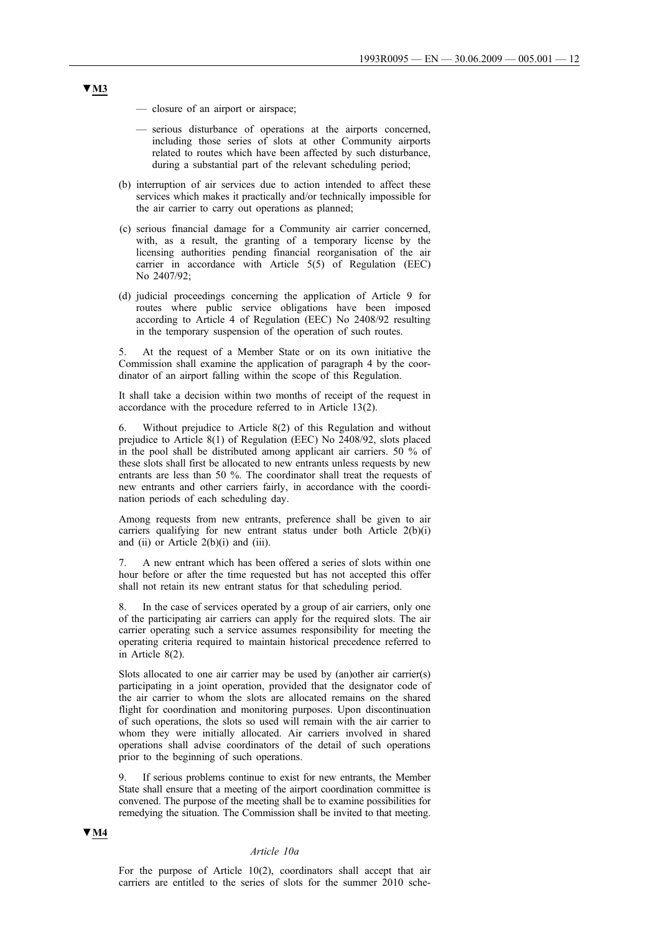- closure of an airport or airspace;
- serious disturbance of operations at the airports concerned, including those series of slots at other Community airports related to routes which have been affected by such disturbance, during a substantial part of the relevant scheduling period;
- (b) interruption of air services due to action intended to affect these services which makes it practically and/or technically impossible for the air carrier to carry out operations as planned;
- (c) serious financial damage for a Community air carrier concerned, with, as a result, the granting of a temporary license by the licensing authorities pending financial reorganisation of the air carrier in accordance with Article 5(5) of Regulation (EEC) No 2407/92;
- (d) judicial proceedings concerning the application of Article 9 for routes where public service obligations have been imposed according to Article 4 of Regulation (EEC) No 2408/92 resulting in the temporary suspension of the operation of such routes.

5. At the request of a Member State or on its own initiative the Commission shall examine the application of paragraph 4 by the coordinator of an airport falling within the scope of this Regulation.

It shall take a decision within two months of receipt of the request in accordance with the procedure referred to in Article 13(2).

6. Without prejudice to Article 8(2) of this Regulation and without prejudice to Article 8(1) of Regulation (EEC) No 2408/92, slots placed in the pool shall be distributed among applicant air carriers. 50 % of these slots shall first be allocated to new entrants unless requests by new entrants are less than 50 %. The coordinator shall treat the requests of new entrants and other carriers fairly, in accordance with the coordination periods of each scheduling day.

Among requests from new entrants, preference shall be given to air carriers qualifying for new entrant status under both Article 2(b)(i) and (ii) or Article 2(b)(i) and (iii).

7. A new entrant which has been offered a series of slots within one hour before or after the time requested but has not accepted this offer shall not retain its new entrant status for that scheduling period.

8. In the case of services operated by a group of air carriers, only one of the participating air carriers can apply for the required slots. The air carrier operating such a service assumes responsibility for meeting the operating criteria required to maintain historical precedence referred to in Article 8(2).

Slots allocated to one air carrier may be used by (an)other air carrier(s) participating in a joint operation, provided that the designator code of the air carrier to whom the slots are allocated remains on the shared flight for coordination and monitoring purposes. Upon discontinuation of such operations, the slots so used will remain with the air carrier to whom they were initially allocated. Air carriers involved in shared operations shall advise coordinators of the detail of such operations prior to the beginning of such operations.

9. If serious problems continue to exist for new entrants, the Member State shall ensure that a meeting of the airport coordination committee is convened. The purpose of the meeting shall be to examine possibilities for remedying the situation. The Commission shall be invited to that meeting.

#### **▼M4**

#### *Article 10a*

For the purpose of Article 10(2), coordinators shall accept that air carriers are entitled to the series of slots for the summer 2010 sche-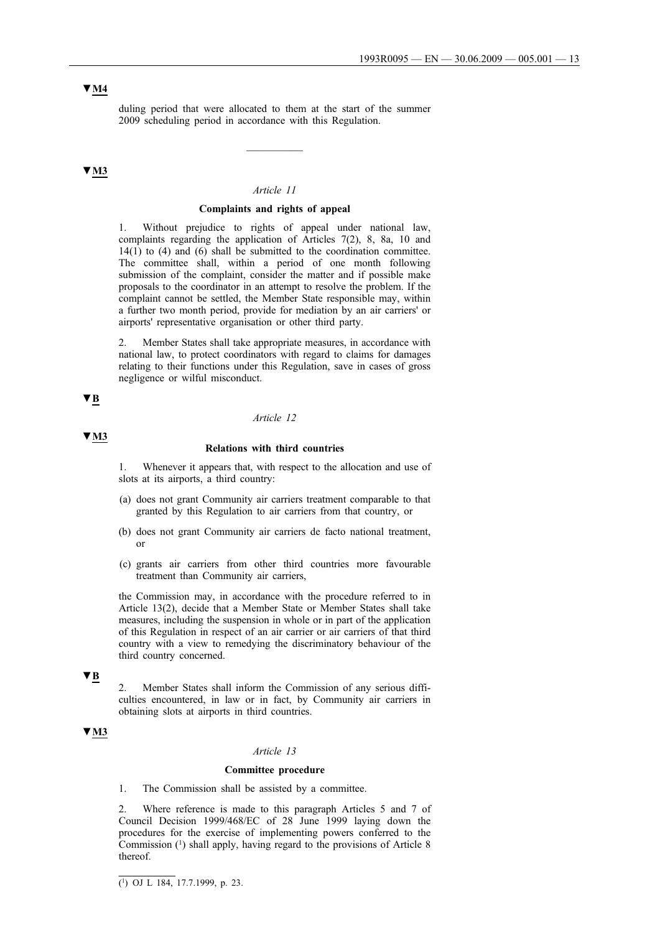# **▼M4**

duling period that were allocated to them at the start of the summer 2009 scheduling period in accordance with this Regulation.

 $\overline{\phantom{a}}$ 

## **▼M3**

#### *Article 11*

#### **Complaints and rights of appeal**

1. Without prejudice to rights of appeal under national law, complaints regarding the application of Articles 7(2), 8, 8a, 10 and 14(1) to (4) and (6) shall be submitted to the coordination committee. The committee shall, within a period of one month following submission of the complaint, consider the matter and if possible make proposals to the coordinator in an attempt to resolve the problem. If the complaint cannot be settled, the Member State responsible may, within a further two month period, provide for mediation by an air carriers' or airports' representative organisation or other third party.

2. Member States shall take appropriate measures, in accordance with national law, to protect coordinators with regard to claims for damages relating to their functions under this Regulation, save in cases of gross negligence or wilful misconduct.

## **▼B**

### *Article 12*

#### **▼M3**

#### **Relations with third countries**

1. Whenever it appears that, with respect to the allocation and use of slots at its airports, a third country:

- (a) does not grant Community air carriers treatment comparable to that granted by this Regulation to air carriers from that country, or
- (b) does not grant Community air carriers de facto national treatment, or
- (c) grants air carriers from other third countries more favourable treatment than Community air carriers,

the Commission may, in accordance with the procedure referred to in Article 13(2), decide that a Member State or Member States shall take measures, including the suspension in whole or in part of the application of this Regulation in respect of an air carrier or air carriers of that third country with a view to remedying the discriminatory behaviour of the third country concerned.

**▼B**

2. Member States shall inform the Commission of any serious difficulties encountered, in law or in fact, by Community air carriers in obtaining slots at airports in third countries.

## **▼M3**

## *Article 13*

#### **Committee procedure**

1. The Commission shall be assisted by a committee.

2. Where reference is made to this paragraph Articles 5 and 7 of Council Decision 1999/468/EC of 28 June 1999 laying down the procedures for the exercise of implementing powers conferred to the Commission (1) shall apply, having regard to the provisions of Article 8 thereof.

 $\overline{(^1)}$  OJ L 184, 17.7.1999, p. 23.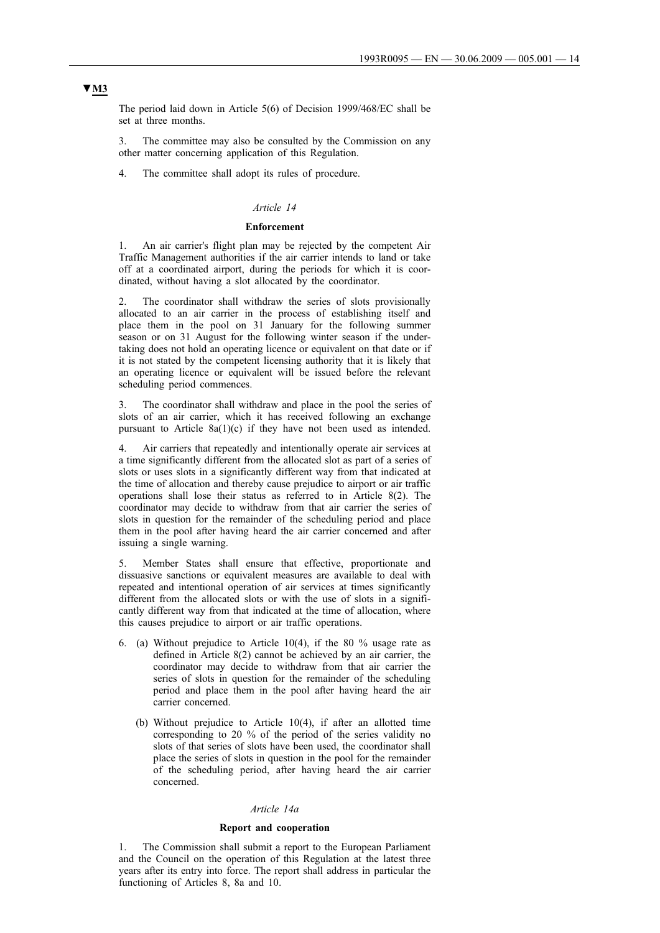The period laid down in Article 5(6) of Decision 1999/468/EC shall be set at three months.

3. The committee may also be consulted by the Commission on any other matter concerning application of this Regulation.

4. The committee shall adopt its rules of procedure.

## *Article 14*

## **Enforcement**

1. An air carrier's flight plan may be rejected by the competent Air Traffic Management authorities if the air carrier intends to land or take off at a coordinated airport, during the periods for which it is coordinated, without having a slot allocated by the coordinator.

The coordinator shall withdraw the series of slots provisionally allocated to an air carrier in the process of establishing itself and place them in the pool on 31 January for the following summer season or on 31 August for the following winter season if the undertaking does not hold an operating licence or equivalent on that date or if it is not stated by the competent licensing authority that it is likely that an operating licence or equivalent will be issued before the relevant scheduling period commences.

3. The coordinator shall withdraw and place in the pool the series of slots of an air carrier, which it has received following an exchange pursuant to Article 8a(1)(c) if they have not been used as intended.

4. Air carriers that repeatedly and intentionally operate air services at a time significantly different from the allocated slot as part of a series of slots or uses slots in a significantly different way from that indicated at the time of allocation and thereby cause prejudice to airport or air traffic operations shall lose their status as referred to in Article 8(2). The coordinator may decide to withdraw from that air carrier the series of slots in question for the remainder of the scheduling period and place them in the pool after having heard the air carrier concerned and after issuing a single warning.

5. Member States shall ensure that effective, proportionate and dissuasive sanctions or equivalent measures are available to deal with repeated and intentional operation of air services at times significantly different from the allocated slots or with the use of slots in a significantly different way from that indicated at the time of allocation, where this causes prejudice to airport or air traffic operations.

- 6. (a) Without prejudice to Article 10(4), if the 80 % usage rate as defined in Article 8(2) cannot be achieved by an air carrier, the coordinator may decide to withdraw from that air carrier the series of slots in question for the remainder of the scheduling period and place them in the pool after having heard the air carrier concerned.
	- (b) Without prejudice to Article 10(4), if after an allotted time corresponding to 20 % of the period of the series validity no slots of that series of slots have been used, the coordinator shall place the series of slots in question in the pool for the remainder of the scheduling period, after having heard the air carrier concerned.

#### *Article 14a*

#### **Report and cooperation**

1. The Commission shall submit a report to the European Parliament and the Council on the operation of this Regulation at the latest three years after its entry into force. The report shall address in particular the functioning of Articles 8, 8a and 10.